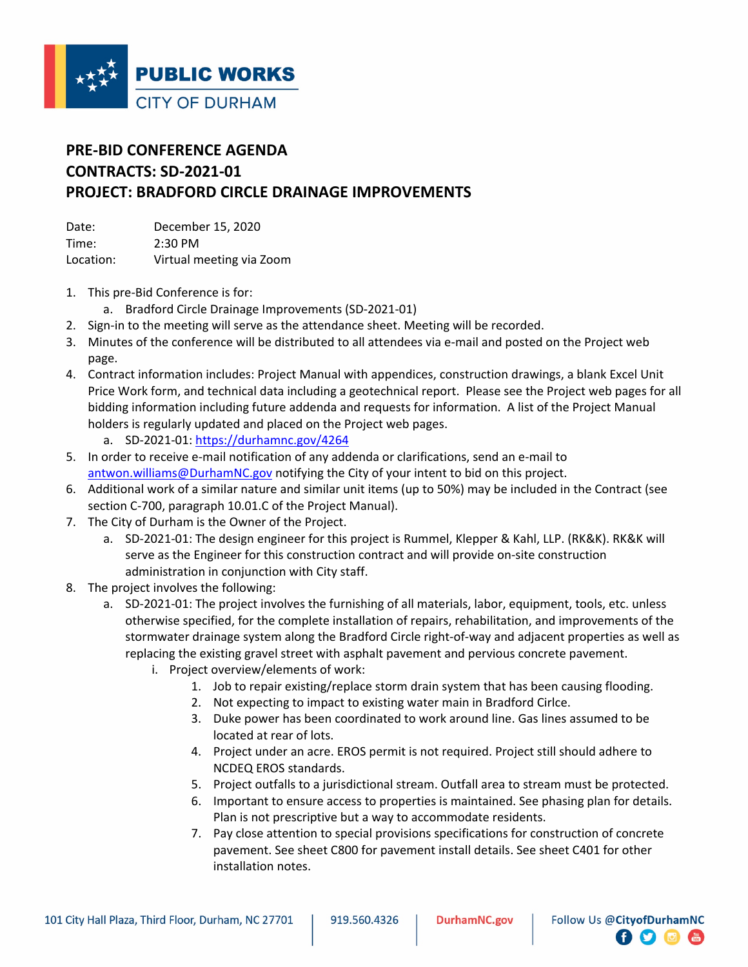

## **PRE-BID CONFERENCE AGENDA CONTRACTS: SD-2021-01 PROJECT: BRADFORD CIRCLE DRAINAGE IMPROVEMENTS**

Date: December 15, 2020 Time: 2:30 PM Location: Virtual meeting via Zoom

- 1. This pre-Bid Conference is for:
	- a. Bradford Circle Drainage Improvements (SD-2021-01)
- 2. Sign-in to the meeting will serve as the attendance sheet. Meeting will be recorded.
- 3. Minutes of the conference will be distributed to all attendees via e-mail and posted on the Project web page.
- 4. Contract information includes: Project Manual with appendices, construction drawings, a blank Excel Unit Price Work form, and technical data including a geotechnical report. Please see the Project web pages for all bidding information including future addenda and requests for information. A list of the Project Manual holders is regularly updated and placed on the Project web pages.
	- a. SD-2021-01:<https://durhamnc.gov/4264>
- 5. In order to receive e-mail notification of any addenda or clarifications, send an e-mail to [antwon.williams@DurhamNC.gov](mailto:antwon.williams@DurhamNC.gov) notifying the City of your intent to bid on this project.
- 6. Additional work of a similar nature and similar unit items (up to 50%) may be included in the Contract (see section C-700, paragraph 10.01.C of the Project Manual).
- 7. The City of Durham is the Owner of the Project.
	- a. SD-2021-01: The design engineer for this project is Rummel, Klepper & Kahl, LLP. (RK&K). RK&K will serve as the Engineer for this construction contract and will provide on-site construction administration in conjunction with City staff.
- 8. The project involves the following:
	- a. SD-2021-01: The project involves the furnishing of all materials, labor, equipment, tools, etc. unless otherwise specified, for the complete installation of repairs, rehabilitation, and improvements of the stormwater drainage system along the Bradford Circle right-of-way and adjacent properties as well as replacing the existing gravel street with asphalt pavement and pervious concrete pavement.
		- i. Project overview/elements of work:
			- 1. Job to repair existing/replace storm drain system that has been causing flooding.
			- 2. Not expecting to impact to existing water main in Bradford Cirlce.
			- 3. Duke power has been coordinated to work around line. Gas lines assumed to be located at rear of lots.
			- 4. Project under an acre. EROS permit is not required. Project still should adhere to NCDEQ EROS standards.
			- 5. Project outfalls to a jurisdictional stream. Outfall area to stream must be protected.
			- 6. Important to ensure access to properties is maintained. See phasing plan for details. Plan is not prescriptive but a way to accommodate residents.
			- 7. Pay close attention to special provisions specifications for construction of concrete pavement. See sheet C800 for pavement install details. See sheet C401 for other installation notes.

 $\bullet$   $\bullet$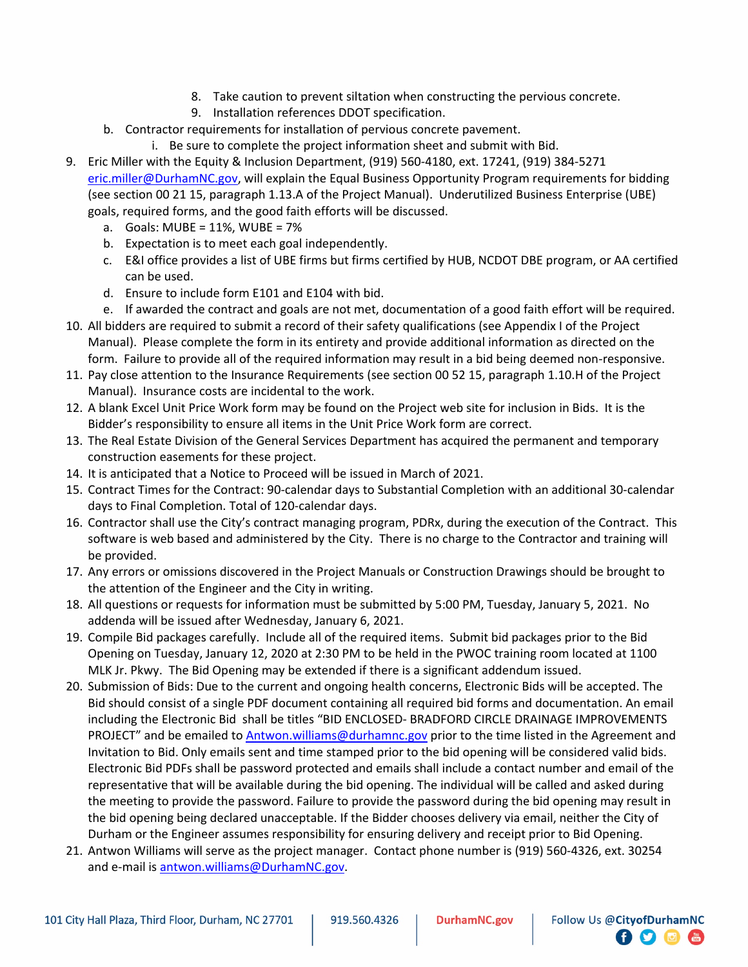- 8. Take caution to prevent siltation when constructing the pervious concrete.
- 9. Installation references DDOT specification.
- b. Contractor requirements for installation of pervious concrete pavement.
	- i. Be sure to complete the project information sheet and submit with Bid.
- 9. Eric Miller with the Equity & Inclusion Department, (919) 560-4180, ext. 17241, (919) 384-5271 [eric.miller@DurhamNC.gov,](mailto:eric.miller@DurhamNC.gov) will explain the Equal Business Opportunity Program requirements for bidding (see section 00 21 15, paragraph 1.13.A of the Project Manual). Underutilized Business Enterprise (UBE) goals, required forms, and the good faith efforts will be discussed.
	- a. Goals: MUBE = 11%, WUBE = 7%
	- b. Expectation is to meet each goal independently.
	- c. E&I office provides a list of UBE firms but firms certified by HUB, NCDOT DBE program, or AA certified can be used.
	- d. Ensure to include form E101 and E104 with bid.
	- e. If awarded the contract and goals are not met, documentation of a good faith effort will be required.
- 10. All bidders are required to submit a record of their safety qualifications (see Appendix I of the Project Manual). Please complete the form in its entirety and provide additional information as directed on the form. Failure to provide all of the required information may result in a bid being deemed non-responsive.
- 11. Pay close attention to the Insurance Requirements (see section 00 52 15, paragraph 1.10.H of the Project Manual). Insurance costs are incidental to the work.
- 12. A blank Excel Unit Price Work form may be found on the Project web site for inclusion in Bids. It is the Bidder's responsibility to ensure all items in the Unit Price Work form are correct.
- 13. The Real Estate Division of the General Services Department has acquired the permanent and temporary construction easements for these project.
- 14. It is anticipated that a Notice to Proceed will be issued in March of 2021.
- 15. Contract Times for the Contract: 90-calendar days to Substantial Completion with an additional 30-calendar days to Final Completion. Total of 120-calendar days.
- 16. Contractor shall use the City's contract managing program, PDRx, during the execution of the Contract. This software is web based and administered by the City. There is no charge to the Contractor and training will be provided.
- 17. Any errors or omissions discovered in the Project Manuals or Construction Drawings should be brought to the attention of the Engineer and the City in writing.
- 18. All questions or requests for information must be submitted by 5:00 PM, Tuesday, January 5, 2021. No addenda will be issued after Wednesday, January 6, 2021.
- 19. Compile Bid packages carefully. Include all of the required items. Submit bid packages prior to the Bid Opening on Tuesday, January 12, 2020 at 2:30 PM to be held in the PWOC training room located at 1100 MLK Jr. Pkwy. The Bid Opening may be extended if there is a significant addendum issued.
- 20. Submission of Bids: Due to the current and ongoing health concerns, Electronic Bids will be accepted. The Bid should consist of a single PDF document containing all required bid forms and documentation. An email including the Electronic Bid shall be titles "BID ENCLOSED- BRADFORD CIRCLE DRAINAGE IMPROVEMENTS PROJECT" and be emailed to [Antwon.williams@durhamnc.gov](mailto:Antwon.williams@durhamnc.gov) prior to the time listed in the Agreement and Invitation to Bid. Only emails sent and time stamped prior to the bid opening will be considered valid bids. Electronic Bid PDFs shall be password protected and emails shall include a contact number and email of the representative that will be available during the bid opening. The individual will be called and asked during the meeting to provide the password. Failure to provide the password during the bid opening may result in the bid opening being declared unacceptable. If the Bidder chooses delivery via email, neither the City of Durham or the Engineer assumes responsibility for ensuring delivery and receipt prior to Bid Opening.
- 21. Antwon Williams will serve as the project manager. Contact phone number is (919) 560-4326, ext. 30254 and e-mail is [antwon.williams@DurhamNC.gov.](mailto:antwon.williams@DurhamNC.gov)

**日り回信**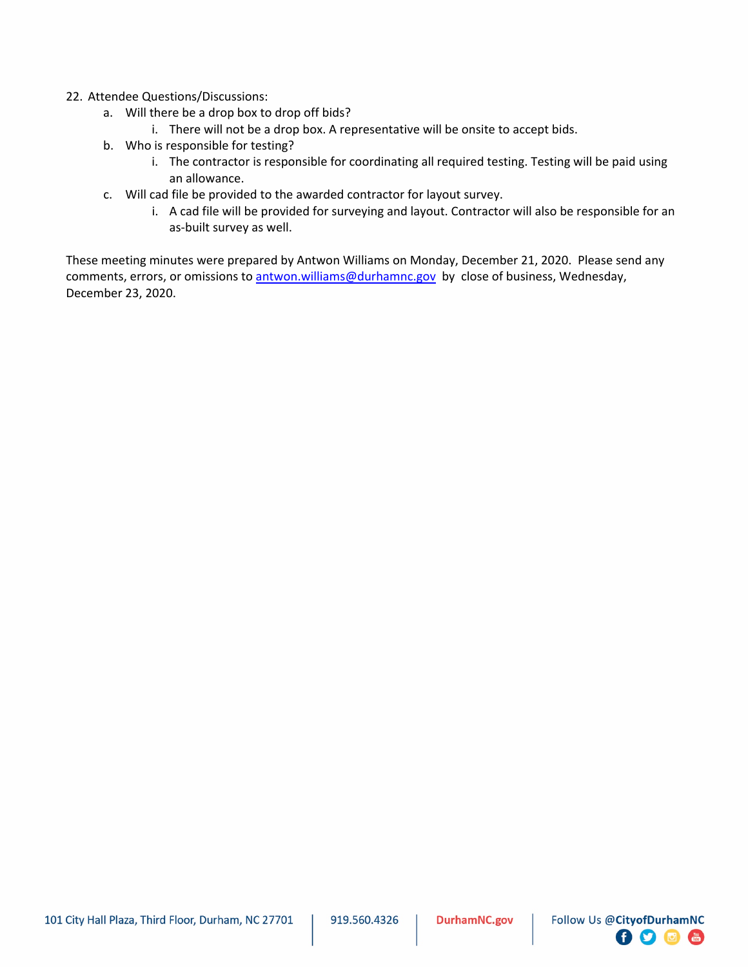## 22. Attendee Questions/Discussions:

- a. Will there be a drop box to drop off bids?
	- i. There will not be a drop box. A representative will be onsite to accept bids.
- b. Who is responsible for testing?
	- i. The contractor is responsible for coordinating all required testing. Testing will be paid using an allowance.
- c. Will cad file be provided to the awarded contractor for layout survey.
	- i. A cad file will be provided for surveying and layout. Contractor will also be responsible for an as-built survey as well.

These meeting minutes were prepared by Antwon Williams on Monday, December 21, 2020. Please send any comments, errors, or omissions to [antwon.williams@durhamnc.gov](mailto:antwon.williams@durhamnc.gov) by close of business, Wednesday, December 23, 2020.

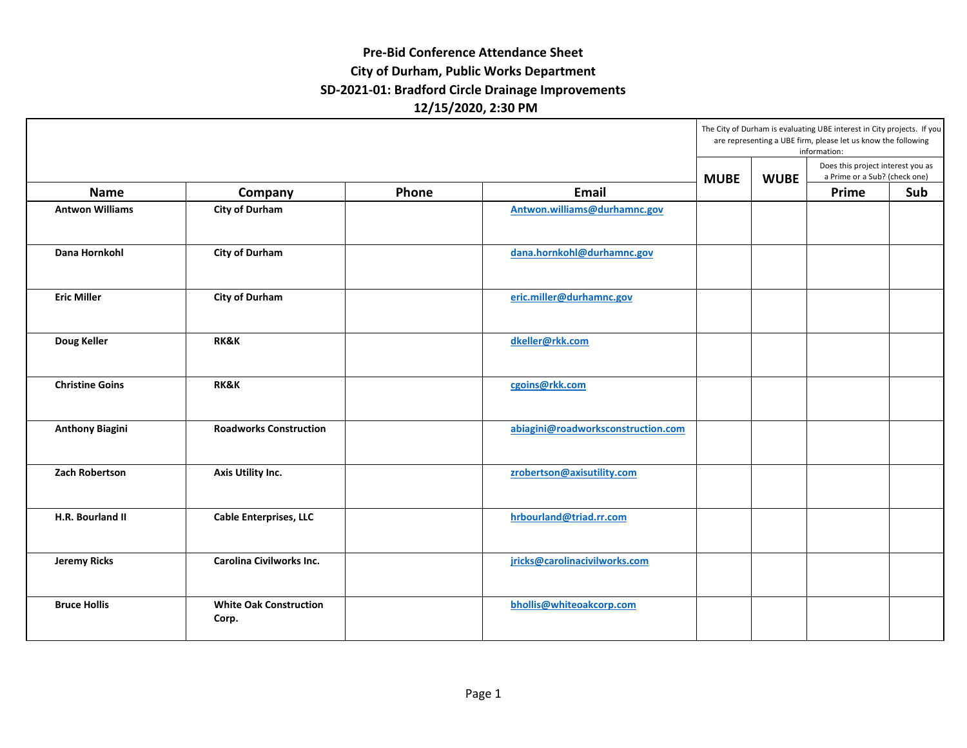## **Pre‐Bid Conference Attendance Sheet City of Durham, Public Works Department SD‐2021‐01: Bradford Circle Drainage Improvements 12/15/2020, 2:30 PM**

|                        |                                        | Phone | <b>Email</b>                       | The City of Durham is evaluating UBE interest in City projects. If you<br>are representing a UBE firm, please let us know the following<br>information: |             |                                                                    |     |
|------------------------|----------------------------------------|-------|------------------------------------|---------------------------------------------------------------------------------------------------------------------------------------------------------|-------------|--------------------------------------------------------------------|-----|
| <b>Name</b>            |                                        |       |                                    | <b>MUBE</b>                                                                                                                                             | <b>WUBE</b> | Does this project interest you as<br>a Prime or a Sub? (check one) |     |
|                        | Company                                |       |                                    |                                                                                                                                                         |             | Prime                                                              | Sub |
| <b>Antwon Williams</b> | <b>City of Durham</b>                  |       | Antwon.williams@durhamnc.gov       |                                                                                                                                                         |             |                                                                    |     |
| Dana Hornkohl          | <b>City of Durham</b>                  |       | dana.hornkohl@durhamnc.gov         |                                                                                                                                                         |             |                                                                    |     |
| <b>Eric Miller</b>     | <b>City of Durham</b>                  |       | eric.miller@durhamnc.gov           |                                                                                                                                                         |             |                                                                    |     |
| Doug Keller            | <b>RK&amp;K</b>                        |       | dkeller@rkk.com                    |                                                                                                                                                         |             |                                                                    |     |
| <b>Christine Goins</b> | <b>RK&amp;K</b>                        |       | cgoins@rkk.com                     |                                                                                                                                                         |             |                                                                    |     |
| <b>Anthony Biagini</b> | <b>Roadworks Construction</b>          |       | abiagini@roadworksconstruction.com |                                                                                                                                                         |             |                                                                    |     |
| <b>Zach Robertson</b>  | Axis Utility Inc.                      |       | zrobertson@axisutility.com         |                                                                                                                                                         |             |                                                                    |     |
| H.R. Bourland II       | <b>Cable Enterprises, LLC</b>          |       | hrbourland@triad.rr.com            |                                                                                                                                                         |             |                                                                    |     |
| <b>Jeremy Ricks</b>    | Carolina Civilworks Inc.               |       | jricks@carolinacivilworks.com      |                                                                                                                                                         |             |                                                                    |     |
| <b>Bruce Hollis</b>    | <b>White Oak Construction</b><br>Corp. |       | bhollis@whiteoakcorp.com           |                                                                                                                                                         |             |                                                                    |     |